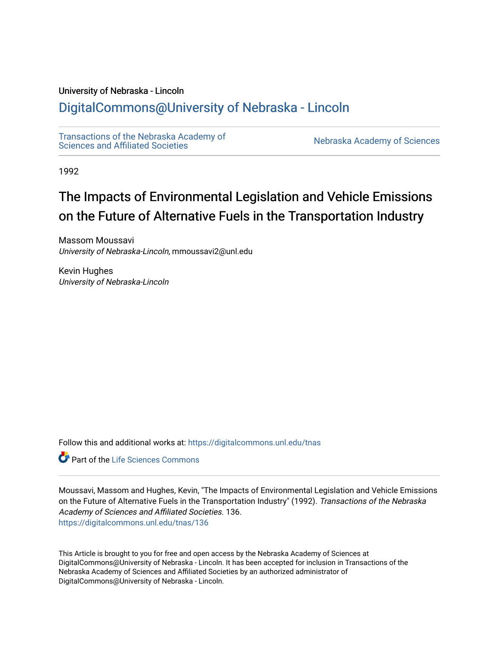# University of Nebraska - Lincoln

# [DigitalCommons@University of Nebraska - Lincoln](https://digitalcommons.unl.edu/)

[Transactions of the Nebraska Academy of](https://digitalcommons.unl.edu/tnas)  Transactions of the Nebraska Academy of Sciences<br>Sciences and Affiliated Societies

1992

# The Impacts of Environmental Legislation and Vehicle Emissions on the Future of Alternative Fuels in the Transportation Industry

Massom Moussavi University of Nebraska-Lincoln, mmoussavi2@unl.edu

Kevin Hughes University of Nebraska-Lincoln

Follow this and additional works at: [https://digitalcommons.unl.edu/tnas](https://digitalcommons.unl.edu/tnas?utm_source=digitalcommons.unl.edu%2Ftnas%2F136&utm_medium=PDF&utm_campaign=PDFCoverPages) 

Part of the [Life Sciences Commons](http://network.bepress.com/hgg/discipline/1016?utm_source=digitalcommons.unl.edu%2Ftnas%2F136&utm_medium=PDF&utm_campaign=PDFCoverPages) 

Moussavi, Massom and Hughes, Kevin, "The Impacts of Environmental Legislation and Vehicle Emissions on the Future of Alternative Fuels in the Transportation Industry" (1992). Transactions of the Nebraska Academy of Sciences and Affiliated Societies. 136. [https://digitalcommons.unl.edu/tnas/136](https://digitalcommons.unl.edu/tnas/136?utm_source=digitalcommons.unl.edu%2Ftnas%2F136&utm_medium=PDF&utm_campaign=PDFCoverPages) 

This Article is brought to you for free and open access by the Nebraska Academy of Sciences at DigitalCommons@University of Nebraska - Lincoln. It has been accepted for inclusion in Transactions of the Nebraska Academy of Sciences and Affiliated Societies by an authorized administrator of DigitalCommons@University of Nebraska - Lincoln.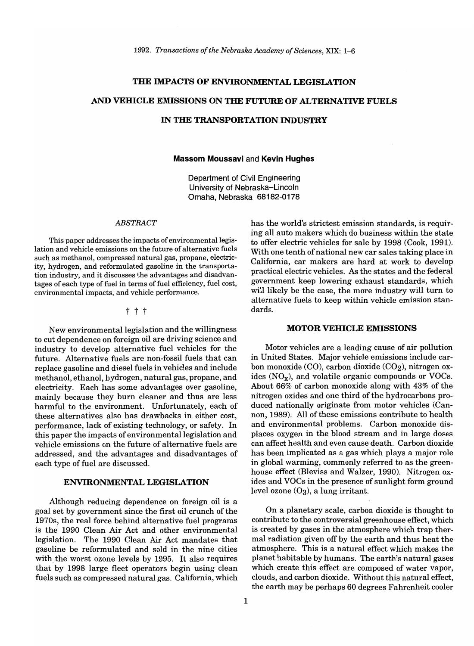#### **THE IMPACTS OF ENVIRONMENTAL LEGISLATION**

# **AND VEHICLE EMISSIONS ON THE FUTURE OF ALTERNATIVE FUELS**

# **IN THE TRANSPORTATION INDUSTRY**

#### **Massom Moussavi** and **Kevin Hughes**

Department of Civil Engineering University of Nebraska-Lincoln Omaha, Nebraska 68182-0178

# *ABSTRACT*

This paper addresses the impacts of environmental legislation and vehicle emissions on the future of alternative fuels such as methanol, compressed natural gas, propane, electricity, hydrogen, and reformulated gasoline in the transportation industry, and it discusses the advantages and disadvantages of each type of fuel in terms of fuel efficiency, fuel cost, environmental impacts, and vehicle performance.

t t t

New environmental legislation and the willingness to cut dependence on foreign oil are driving science and industry to develop alternative fuel vehicles for the future. Alternative fuels are non-fossil fuels that can replace gasoline and diesel fuels in vehicles and include methanol, ethanol, hydrogen, natural gas, propane, and electricity. Each has some advantages over gasoline, mainly because they burn cleaner and thus are less harmful to the environment. Unfortunately, each of these alternatives also has drawbacks in either cost, performance, lack of existing technology, or safety. In this paper the impacts of environmental legislation and vehicle emissions on the future of alternative fuels are addressed, and the advantages and disadvantages of each type of fuel are discussed.

#### **ENVIRONMENTAL LEGISLATION**

Although reducing dependence on foreign oil is a goal set by government since the first oil crunch of the 1970s, the real force behind alternative fuel programs is the 1990 Clean Air Act and other environmental legislation. The 1990 Clean Air Act mandates that gasoline be reformulated and sold in the nine cities with the worst ozone levels by 1995. It also requires that by 1998 large fleet operators begin using clean fuels such as compressed natural gas. California, which

has the world's strictest emission standards, is requiring all auto makers which do business within the state to offer electric vehicles for sale by 1998 (Cook, 1991). With one tenth of national new car sales taking place in California, car makers are hard at work to develop practical electric vehicles. As the states and the federal government keep lowering exhaust standards, which will likely be the case, the more industry will turn to alternative fuels to keep within vehicle emission standards.

#### **MOTOR VEHICLE EMISSIONS**

Motor vehicles are a leading cause of air pollution in United States. Major vehicle emissions include carbon monoxide  $(CO)$ , carbon dioxide  $(CO<sub>2</sub>)$ , nitrogen oxides  $NO_x$ ), and volatile organic compounds or VOCs. About 66% of carbon monoxide along with 43% of the nitrogen oxides and one third of the hydrocarbons produced nationally originate from motor vehicles (Cannon, 1989). All of these emissions contribute to health and environmental problems. Carbon monoxide displaces oxygen in the blood stream and in large doses can affect health and even cause death. Carbon dioxide has been implicated as a gas which plays a major role in global warming, commonly referred to as the greenhouse effect (Bleviss and Walzer, 1990). Nitrogen oxides and VOCs in the presence of sunlight form ground level ozone  $(O_3)$ , a lung irritant.

On a planetary scale, carbon dioxide is thought to contribute to the controversial greenhouse effect, which is created by gases in the atmosphere which trap thermal radiation given off by the earth and thus heat the atmosphere. This is a natural effect which makes the planet habitable by humans. The earth's natural gases which create this effect are composed of water vapor, clouds, and carbon dioxide. Without this natural effect, the earth may be perhaps 60 degrees Fahrenheit cooler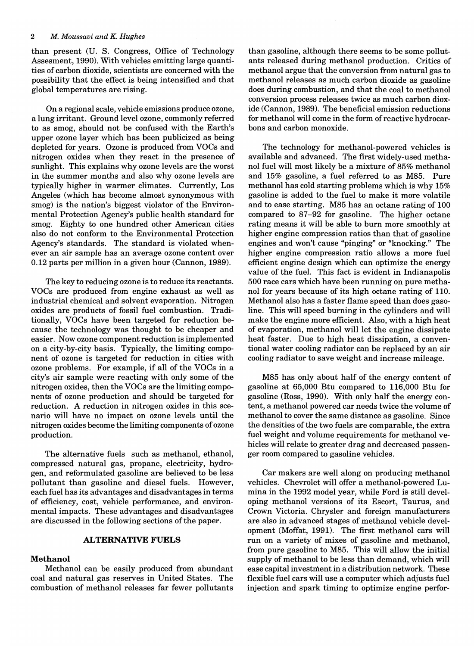than present (U. S. Congress, Office of Technology Assesment, 1990). With vehicles emitting large quantities of carbon dioxide, scientists are concerned with the possibility that the effect is being intensified and that global temperatures are rising.

On a regional scale, vehicle emissions produce ozone, a lung irritant. Ground level ozone, commonly referred to as smog, should not be confused with the Earth's upper ozone layer which has been publicized as being depleted for years. Ozone is produced from VOCs and nitrogen oxides when they react in the presence of sunlight. This explains why ozone levels are the worst in the summer months and also why ozone levels are typically higher in warmer climates. Currently, Los Angeles (which has become almost synonymous with smog) is the nation's biggest violator of the Environmental Protection Agency's public health standard for smog. Eighty to one hundred other American cities also do not conform to the Environmental Protection Agency's standards. The standard is violated whenever an air sample has an average ozone content over 0.12 parts per million in a given hour (Cannon, 1989).

The key to reducing ozone is to reduce its reactants. VOCs are produced from engine exhaust as well as industrial chemical and solvent evaporation. Nitrogen oxides are products of fossil fuel combustion. Traditionally, VOCs have been targeted for reduction because the technology was thought to be cheaper and easier. Now ozone component reduction is implemented on a city-by-city basis. Typically, the limiting component of ozone is targeted for reduction in cities with ozone problems. For example, if all of the VOCs in a city's air sample were reacting with only some of the nitrogen oxides, then the VOCs are the limiting components of ozone production and should be targeted for reduction. A reduction in nitrogen oxides in this scenario will have no impact on ozone levels until the nitrogen oxides become the limiting components of ozone production.

The alternative fuels such as methanol, ethanol, compressed natural gas, propane, electricity, hydrogen, and reformulated gasoline are believed to be less pollutant than gasoline and diesel fuels. However, each fuel has its advantages and disadvantages in terms of efficiency, cost, vehicle performance, and environmental impacts. These advantages and disadvantages are discussed in the following sections of the paper.

#### **ALTERNATIVE FUELS**

#### **Methanol**

Methanol can be easily produced from abundant coal and natural gas reserves in United States. The combustion of methanol releases far fewer pollutants

than gasoline, although there seems to be some pollutants released during methanol production. Critics of methanol argue that the conversion from natural gas to methanol releases as much carbon dioxide as gasoline does during combustion, and that the coal to methanol conversion process releases twice as much carbon dioxide (Cannon, 1989). The beneficial emission reductions for methanol will come in the form of reactive hydrocarbons and carbon monoxide.

The technology for methanol-powered vehicles is available and advanced. The first widely-used methanol fuel will most likely be a mixture of 85% methanol and 15% gasoline, a fuel referred to as M85. Pure methanol has cold starting problems which is why 15% gasoline is added to the fuel to make it more volatile and to ease starting. M85 has an octane rating of 100 compared to 87-92 for gasoline. The higher octane rating means it will be able to burn more smoothly at higher engine compression ratios than that of gasoline engines and won't cause "pinging" or "knocking." The higher engine compression ratio allows a more fuel efficient engine design which can optimize the energy value of the fuel. This fact is evident in Indianapolis 500 race cars which have been running on pure methanol for years because of its high octane rating of 110. Methanol also has a faster flame speed than does gasoline. This will speed burning in the cylinders and will make the engine more efficient. Also, with a high heat of evaporation, methanol will let the engine dissipate heat faster. Due to high heat dissipation, a conventional water cooling radiator can be replaced by an air cooling radiator to save weight and increase mileage.

M85 has only about half of the energy content of gasoline at 65,000 Btu compared to 116,000 Btu for gasoline (Ross, 1990). With only half the energy content, a methanol powered car needs twice the volume of methanol to cover the same distance as gasoline. Since the densities of the two fuels are comparable, the extra fuel weight and volume requirements for methanol vehicles will relate to greater drag and decreased passenger room compared to gasoline vehicles.

Car makers are well along on producing methanol vehicles. Chevrolet will offer a methanol-powered Lumina in the 1992 model year, while Ford is still developing methanol versions of its Escort, Taurus, and Crown Victoria. Chrysler and foreign manufacturers are also in advanced stages of methanol vehicle development (Moffat, 1991). The first methanol cars will run on a variety of mixes of gasoline and methanol, from pure gasoline to M85. This will allow the initial supply of methanol to be less than demand, which will ease capital investment in a distribution network. These flexible fuel cars will use a computer which adjusts fuel injection and spark timing to optimize engine perfor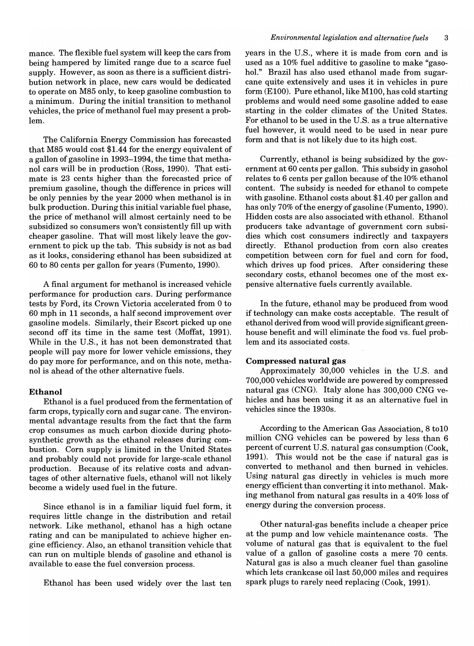mance. The flexible fuel system will keep the cars from being hampered by limited range due to a scarce fuel supply. However, as soon as there is a sufficient distribution network in place, new cars would be dedicated to operate on M85 only, to keep gasoline combustion to a minimum. During the initial transition to methanol vehicles, the price of methanol fuel may present a problem.

The California Energy Commission has forecasted that M85 would cost \$1.44 for the energy equivalent of a gallon of gasoline in 1993-1994, the time that methanol cars will be in production (Ross, 1990). That estimate is 23 cents higher than the forecasted price of premium gasoline, though the difference in prices will be only pennies by the year 2000 when methanol is in bulk production. During this initial variable fuel phase, the price of methanol will almost certainly need to be subsidized so consumers won't consistently fill up with cheaper gasoline. That will most likely leave the government to pick up the tab. This subsidy is not as bad as it looks, considering ethanol has been subsidized at 60 to 80 cents per gallon for years (Fumento, 1990).

A final argument for methanol is increased vehicle performance for production cars. During performance tests by Ford, its Crown Victoria accelerated from 0 to 60 mph in 11 seconds, a half second improvement over gasoline models. Similarly, their Escort picked up one second off its time in the same test (Moffat, 1991). While in the U.S., it has not been demonstrated that people will pay more for lower vehicle emissions, they do pay more for performance, and on this note, methanol is ahead of the other alternative fuels.

#### Ethanol

Ethanol is a fuel produced from the fermentation of farm crops, typically corn and sugar cane. The environmental advantage results from the fact that the farm crop consumes as much carbon dioxide during photosynthetic growth as the ethanol releases during combustion. Corn supply is limited in the United States and probably could not provide for large-scale ethanol production. Because of its relative costs and advantages of other alternative fuels, ethanol will not likely become a widely used fuel in the future.

Since ethanol is in a familiar liquid fuel form, it requires little change in the distribution and retail network. Like methanol, ethanol has a high octane rating and can be manipulated to achieve higher engine efficiency. Also, an ethanol transition vehicle that can run on multiple blends of gasoline and ethanol is available to ease the fuel conversion process.

Ethanol has been used widely over the last ten

years in the U.S., where it is made from corn and is used as a 10% fuel additive to gasoline to make "gasohol." Brazil has also used ethanol made from sugarcane quite extensively and uses it in vehicles in pure form (E100). Pure ethanol, like M100, has cold starting problems and would need some gasoline added to ease starting in the colder climates of the United States. For ethanol to be used in the U.S. as a true alternative fuel however, it would need to be used in near pure form and that is not likely due to its high cost.

Currently, ethanol is being subsidized by the government at 60 cents per gallon. This subsidy in gasohol relates to 6 cents per gallon because of the 10% ethanol content. The subsidy is needed for ethanol to compete with gasoline. Ethanol costs about \$1.40 per gallon and has only 70% of the energy of gasoline (Fumento, 1990). Hidden costs are also associated with ethanol. Ethanol producers take advantage of government corn subsidies which cost consumers indirectly and taxpayers directly. Ethanol production from corn also creates competition between corn for fuel and corn for food, which drives up food prices. After considering these secondary costs, ethanol becomes one of the most expensive alternative fuels currently available.

In the future, ethanol may be produced from wood if technology can make costs acceptable. The result of ethanol derived from wood will provide significant greenhouse benefit and will eliminate the food vs. fuel problem and its associated costs.

#### Compressed natural gas

Approximately 30,000 vehicles in the U.S. and 700,000 vehicles worldwide are powered by compressed natural gas (CNG). Italy alone has 300,000 CNG vehicles and has been using it as an alternative fuel in vehicles since the 1930s.

According to the American Gas Association, 8 to10 million CNG vehicles can be powered by less than 6 percent of current U.S. natural gas consumption (Cook, 1991). This would not be the case if natural gas is converted to methanol and then burned in vehicles. Using natural gas directly in vehicles is much more energy efficient than converting it into methanol. Making methanol from natural gas results in a 40% loss of energy during the conversion process.

Other natural-gas benefits include a cheaper price at the pump and low vehicle maintenance costs. The volume of natural gas that is equivalent to the fuel value of a gallon of gasoline costs a mere 70 cents. Natural gas is also a much cleaner fuel than gasoline which lets crankcase oil last 50,000 miles and requires spark plugs to rarely need replacing (Cook, 1991).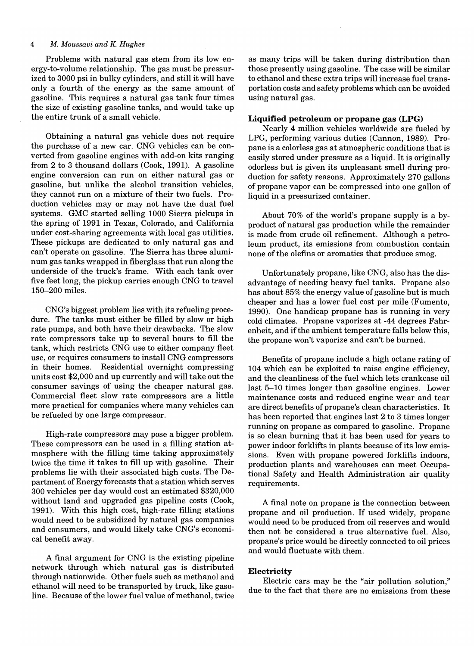#### *4 M. Moussaui and K Hughes*

Problems with natural gas stem from its low energy-to-volume relationship. The gas must be pressurized to 3000 psi in bulky cylinders, and still it will have only a fourth of the energy as the same amount of gasoline. This requires a natural gas tank four times the size of existing gasoline tanks, and would take up the entire trunk of a small vehicle.

Obtaining a natural gas vehicle does not require the purchase of a new car. CNG vehicles can be converted from gasoline engines with add-on kits ranging from 2 to 3 thousand dollars (Cook, 1991). A gasoline engine conversion can run on either natural gas or gasoline, but unlike the alcohol transition vehicles, they cannot run on a mixture of their two fuels. Production vehicles may or may not have the dual fuel systems. GMC started selling 1000 Sierra pickups in the spring of 1991 in Texas, Colorado, and California under cost-sharing agreements with local gas utilities. These pickups are dedicated to only natural gas and can't operate on gasoline. The Sierra has three aluminum gas tanks wrapped in fiberglass that run along the underside of the truck's frame. With each tank over five feet long, the pickup carries enough CNG to travel 150-200 miles.

CNG's biggest problem lies with its refueling procedure. The tanks must either be filled by slow or high rate pumps, and both have their drawbacks. The slow rate compressors take up to several hours to fill the tank, which restricts CNG use to either company fleet use, or requires consumers to install CNG compressors in their homes. Residential overnight compressing units cost \$2,000 and up currently and will take out the consumer savings of using the cheaper natural gas. Commercial fleet slow rate compressors are a little more practical for companies where many vehicles can be refueled by one large compressor.

High-rate compressors may pose a bigger problem. These compressors can be used in a filling station atmosphere with the filling time taking approximately twice the time it takes to fill up with gasoline. Their problems lie with their associated high costs. The Department of Energy forecasts that a station which serves 300 vehicles per day would cost an estimated \$320,000 without land and upgraded gas pipeline costs (Cook, 1991). With this high cost, high-rate filling stations would need to be subsidized by natural gas companies and consumers, and would likely take CNG's economical benefit away.

A final argument for CNG is the existing pipeline network through which natural gas is distributed through nationwide. Other fuels such as methanol and ethanol will need to be transported by truck, like gasoline. Because of the lower fuel value of methanol, twice as many trips will be taken during distribution than those presently using gasoline. The case will be similar to ethanol and these extra trips will increase fuel transportation costs and safety problems which can be avoided using natural gas.

#### **Liquified petroleum or propane gas (LPG)**

Nearly 4 million vehicles worldwide are fueled by LPG, performing various duties (Cannon, 1989). Propane is a colorless gas at atmospheric conditions that is easily stored under pressure as a liquid. It is originally odorless but is given its unpleasant smell during production for safety reasons. Approximately 270 gallons of propane vapor can be compressed into one gallon of liquid in a pressurized container.

About 70% of the world's propane supply is a byproduct of natural gas production while the remainder is made from crude oil refinement. Although a petroleum product, its emissions from combustion contain none of the olefins or aromatics that produce smog.

Unfortunately propane, like CNG, also has the disadvantage of needing heavy fuel tanks. Propane also has about 85% the energy value of gasoline but is much cheaper and has a lower fuel cost per mile (Fumento, 1990). One handicap propane has is running in very cold climates. Propane vaporizes at -44 degrees Fahrenheit, and if the ambient temperature falls below this, the propane won't vaporize and can't be burned.

Benefits of propane include a high octane rating of 104 which can be exploited to raise engine efficiency, and the cleanliness of the fuel which lets crankcase oil last 5-10 times longer than gasoline engines. Lower maintenance costs and reduced engine wear and tear are direct benefits of propane's clean characteristics. It has been reported that engines last 2 to 3 times longer running on propane as compared to gasoline. Propane is so clean burning that it has been used for years to power indoor forklifts in plants because of its low emissions. Even with propane powered forklifts indoors, production plants and warehouses can meet Occupational Safety and Health Administration air quality requirements.

A final note on propane is the connection between propane and oil production. If used widely, propane would need to be produced from oil reserves and would then not be considered a true alternative fuel. Also, propane's price would be directly connected to oil prices and would fluctuate with them.

# **Electricity**

Electric cars may be the "air pollution solution," due to the fact that there are no emissions from these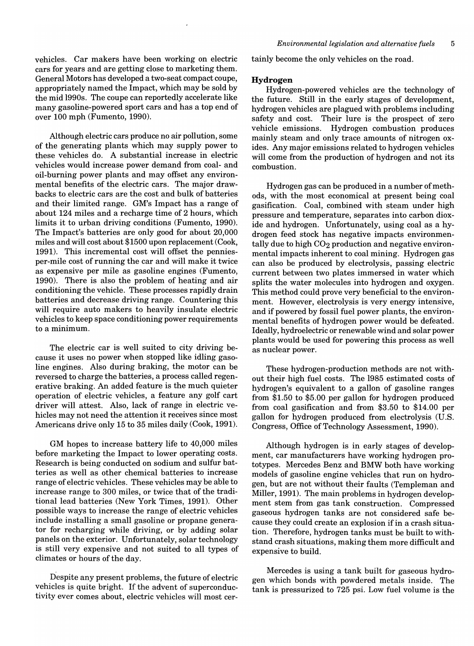vehicles. Car makers have been working on electric cars for years and are getting close to marketing them. General Motors has developed a two-seat compact coupe, appropriately named the Impact, which may be sold by the mid 1990s. The coupe can reportedly accelerate like many gasoline-powered sport cars and has a top end of over 100 mph (Fumento, 1990).

Although electric cars produce no air pollution, some of the generating plants which may supply power to these vehicles do. A substantial increase in electric vehicles would increase power demand from coal- and oil-burning power plants and may offset any environmental benefits of the electric cars. The major drawbacks to electric cars are the cost and bulk of batteries and their limited range. GM's Impact has a range of about 124 miles and a recharge time of 2 hours, which limits it to urban driving conditions (Fumento, 1990). The Impact's batteries are only good for about 20,000 miles and will cost about \$1500 upon replacement (Cook, 1991). This incremental cost will offset the penniesper-mile cost of running the car and will make it twice as expensive per mile as gasoline engines (Fumento, 1990). There is also the problem of heating and air conditioning the vehicle. These processes rapidly drain batteries and decrease driving range. Countering this will require auto makers to heavily insulate electric vehicles to keep space conditioning power requirements to a minimum.

The electric car is well suited to city driving because it uses no power when stopped like idling gasoline engines. Also during braking, the motor can be reversed to charge the batteries, a process called regenerative braking. An added feature is the much quieter operation of electric vehicles, a feature any golf cart driver will attest. Also, lack of range in electric vehicles may not need the attention it receives since most Americans drive only 15 to 35 miles daily (Cook, 1991).

GM hopes to increase battery life to 40,000 miles before marketing the Impact to lower operating costs. Research is being conducted on sodium and sulfur batteries as well as other chemical batteries to increase range of electric vehicles. These vehicles may be able to increase range to 300 miles, or twice that of the traditionallead batteries (New York Times, 1991). Other possible ways to increase the range of electric vehicles include installing a small gasoline or propane generator for recharging while driving, or by adding solar panels on the exterior. Unfortunately, solar technology is still very expensive and not suited to all types of climates or hours of the day.

Despite any present problems, the future of electric vehicles is quite bright. If the advent of superconductivity ever comes about, electric vehicles will most certainly become the only vehicles on the road.

#### **Hydrogen**

Hydrogen-powered vehicles are the technology of the future. Still in the early stages of development, hydrogen vehicles are plagued with problems including safety and cost. Their lure is the prospect of zero vehicle emissions. Hydrogen combustion produces mainly steam and only trace amounts of nitrogen oxides. Any major emissions related to hydrogen vehicles will come from the production of hydrogen and not its combustion.

Hydrogen gas can be produced in a number of methods, with the most economical at present being coal gasification. Coal, combined with steam under high pressure and temperature, separates into carbon dioxide and hydrogen. Unfortunately, using coal as a hydrogen feed stock has negative impacts environmentally due to high  $CO<sub>2</sub>$  production and negative environmental impacts inherent to coal mining. Hydrogen gas can also be produced by electrolysis, passing electric current between two plates immersed in water which splits the water molecules into hydrogen and oxygen. This method could prove very beneficial to the environment. However, electrolysis is very energy intensive, and if powered by fossil fuel power plants, the environmental benefits of hydrogen power would be defeated. Ideally, hydroelectric or renewable wind and solar power plants would be used for powering this process as well as nuclear power.

These hydrogen-production methods are not without their high fuel costs. The 1985 estimated costs of hydrogen's equivalent to a gallon of gasoline ranges from \$1.50 to \$5.00 per gallon for hydrogen produced from coal gasification and from \$3.50 to \$14.00 per gallon for hydrogen produced from electrolysis (U.S. Congress, Office of Technology Assessment, 1990).

Although hydrogen is in early stages of development, car manufacturers have working hydrogen prototypes. Mercedes Benz and BMW both have working models of gasoline engine vehicles that run on hydrogen, but are not without their faults (Templeman and Miller, 1991). The main problems in hydrogen development stem from gas tank construction. Compressed gaseous hydrogen tanks are not considered safe because they could create an explosion if in a crash situation. Therefore, hydrogen tanks must be built to withstand crash situations, making them more difficult and expensive to build.

Mercedes is using a tank built for gaseous hydrogen which bonds with powdered metals inside. The tank is pressurized to 725 psi. Low fuel volume is the